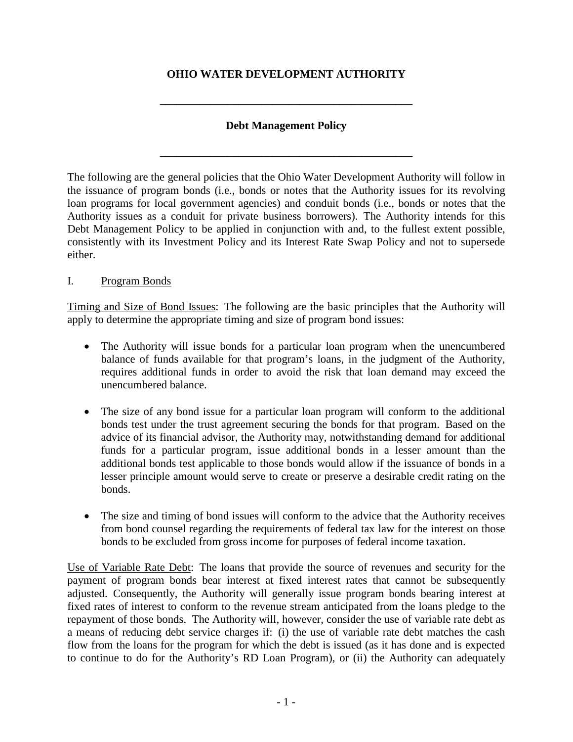## **OHIO WATER DEVELOPMENT AUTHORITY**

## **Debt Management Policy**

**\_\_\_\_\_\_\_\_\_\_\_\_\_\_\_\_\_\_\_\_\_\_\_\_\_\_\_\_\_\_\_\_\_\_\_\_\_\_\_\_\_\_\_\_\_**

**\_\_\_\_\_\_\_\_\_\_\_\_\_\_\_\_\_\_\_\_\_\_\_\_\_\_\_\_\_\_\_\_\_\_\_\_\_\_\_\_\_\_\_\_\_**

The following are the general policies that the Ohio Water Development Authority will follow in the issuance of program bonds (i.e., bonds or notes that the Authority issues for its revolving loan programs for local government agencies) and conduit bonds (i.e., bonds or notes that the Authority issues as a conduit for private business borrowers). The Authority intends for this Debt Management Policy to be applied in conjunction with and, to the fullest extent possible, consistently with its Investment Policy and its Interest Rate Swap Policy and not to supersede either.

## I. Program Bonds

Timing and Size of Bond Issues: The following are the basic principles that the Authority will apply to determine the appropriate timing and size of program bond issues:

- The Authority will issue bonds for a particular loan program when the unencumbered balance of funds available for that program's loans, in the judgment of the Authority, requires additional funds in order to avoid the risk that loan demand may exceed the unencumbered balance.
- The size of any bond issue for a particular loan program will conform to the additional bonds test under the trust agreement securing the bonds for that program. Based on the advice of its financial advisor, the Authority may, notwithstanding demand for additional funds for a particular program, issue additional bonds in a lesser amount than the additional bonds test applicable to those bonds would allow if the issuance of bonds in a lesser principle amount would serve to create or preserve a desirable credit rating on the bonds.
- The size and timing of bond issues will conform to the advice that the Authority receives from bond counsel regarding the requirements of federal tax law for the interest on those bonds to be excluded from gross income for purposes of federal income taxation.

Use of Variable Rate Debt: The loans that provide the source of revenues and security for the payment of program bonds bear interest at fixed interest rates that cannot be subsequently adjusted. Consequently, the Authority will generally issue program bonds bearing interest at fixed rates of interest to conform to the revenue stream anticipated from the loans pledge to the repayment of those bonds. The Authority will, however, consider the use of variable rate debt as a means of reducing debt service charges if: (i) the use of variable rate debt matches the cash flow from the loans for the program for which the debt is issued (as it has done and is expected to continue to do for the Authority's RD Loan Program), or (ii) the Authority can adequately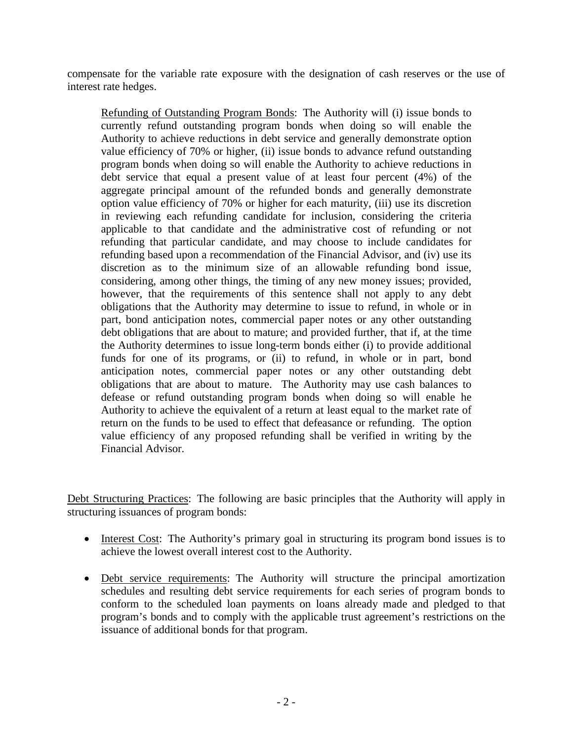compensate for the variable rate exposure with the designation of cash reserves or the use of interest rate hedges.

Refunding of Outstanding Program Bonds: The Authority will (i) issue bonds to currently refund outstanding program bonds when doing so will enable the Authority to achieve reductions in debt service and generally demonstrate option value efficiency of 70% or higher, (ii) issue bonds to advance refund outstanding program bonds when doing so will enable the Authority to achieve reductions in debt service that equal a present value of at least four percent (4%) of the aggregate principal amount of the refunded bonds and generally demonstrate option value efficiency of 70% or higher for each maturity, (iii) use its discretion in reviewing each refunding candidate for inclusion, considering the criteria applicable to that candidate and the administrative cost of refunding or not refunding that particular candidate, and may choose to include candidates for refunding based upon a recommendation of the Financial Advisor, and (iv) use its discretion as to the minimum size of an allowable refunding bond issue, considering, among other things, the timing of any new money issues; provided, however, that the requirements of this sentence shall not apply to any debt obligations that the Authority may determine to issue to refund, in whole or in part, bond anticipation notes, commercial paper notes or any other outstanding debt obligations that are about to mature; and provided further, that if, at the time the Authority determines to issue long-term bonds either (i) to provide additional funds for one of its programs, or (ii) to refund, in whole or in part, bond anticipation notes, commercial paper notes or any other outstanding debt obligations that are about to mature. The Authority may use cash balances to defease or refund outstanding program bonds when doing so will enable he Authority to achieve the equivalent of a return at least equal to the market rate of return on the funds to be used to effect that defeasance or refunding. The option value efficiency of any proposed refunding shall be verified in writing by the Financial Advisor.

Debt Structuring Practices: The following are basic principles that the Authority will apply in structuring issuances of program bonds:

- Interest Cost: The Authority's primary goal in structuring its program bond issues is to achieve the lowest overall interest cost to the Authority.
- Debt service requirements: The Authority will structure the principal amortization schedules and resulting debt service requirements for each series of program bonds to conform to the scheduled loan payments on loans already made and pledged to that program's bonds and to comply with the applicable trust agreement's restrictions on the issuance of additional bonds for that program.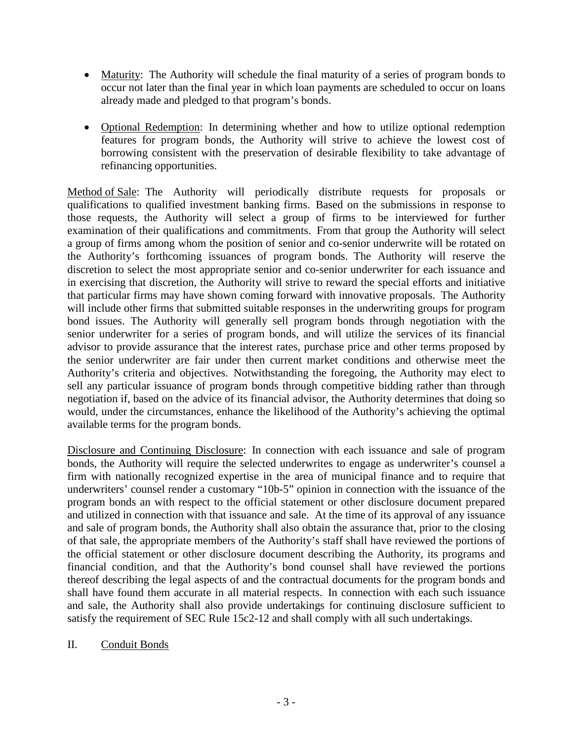- Maturity: The Authority will schedule the final maturity of a series of program bonds to occur not later than the final year in which loan payments are scheduled to occur on loans already made and pledged to that program's bonds.
- Optional Redemption: In determining whether and how to utilize optional redemption features for program bonds, the Authority will strive to achieve the lowest cost of borrowing consistent with the preservation of desirable flexibility to take advantage of refinancing opportunities.

Method of Sale: The Authority will periodically distribute requests for proposals or qualifications to qualified investment banking firms. Based on the submissions in response to those requests, the Authority will select a group of firms to be interviewed for further examination of their qualifications and commitments. From that group the Authority will select a group of firms among whom the position of senior and co-senior underwrite will be rotated on the Authority's forthcoming issuances of program bonds. The Authority will reserve the discretion to select the most appropriate senior and co-senior underwriter for each issuance and in exercising that discretion, the Authority will strive to reward the special efforts and initiative that particular firms may have shown coming forward with innovative proposals. The Authority will include other firms that submitted suitable responses in the underwriting groups for program bond issues. The Authority will generally sell program bonds through negotiation with the senior underwriter for a series of program bonds, and will utilize the services of its financial advisor to provide assurance that the interest rates, purchase price and other terms proposed by the senior underwriter are fair under then current market conditions and otherwise meet the Authority's criteria and objectives. Notwithstanding the foregoing, the Authority may elect to sell any particular issuance of program bonds through competitive bidding rather than through negotiation if, based on the advice of its financial advisor, the Authority determines that doing so would, under the circumstances, enhance the likelihood of the Authority's achieving the optimal available terms for the program bonds.

Disclosure and Continuing Disclosure: In connection with each issuance and sale of program bonds, the Authority will require the selected underwrites to engage as underwriter's counsel a firm with nationally recognized expertise in the area of municipal finance and to require that underwriters' counsel render a customary "10b-5" opinion in connection with the issuance of the program bonds an with respect to the official statement or other disclosure document prepared and utilized in connection with that issuance and sale. At the time of its approval of any issuance and sale of program bonds, the Authority shall also obtain the assurance that, prior to the closing of that sale, the appropriate members of the Authority's staff shall have reviewed the portions of the official statement or other disclosure document describing the Authority, its programs and financial condition, and that the Authority's bond counsel shall have reviewed the portions thereof describing the legal aspects of and the contractual documents for the program bonds and shall have found them accurate in all material respects. In connection with each such issuance and sale, the Authority shall also provide undertakings for continuing disclosure sufficient to satisfy the requirement of SEC Rule 15c2-12 and shall comply with all such undertakings.

II. Conduit Bonds